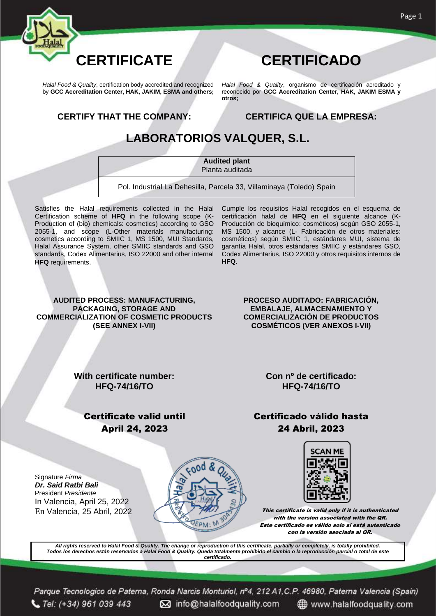

*Halal Food & Quality*, certification body accredited and recognized by **GCC Accreditation Center, HAK, JAKIM, ESMA and others;** *Halal Food & Quality*, organismo de certificación acreditado y reconocido por **GCC Accreditation Center, HAK, JAKIM ESMA y otros;**

**CERTIFY THAT THE COMPANY: CERTIFICA QUE LA EMPRESA:**

#### **LABORATORIOS VALQUER, S.L.**

**Audited plant**  Planta auditada

Pol. Industrial La Dehesilla, Parcela 33, Villaminaya (Toledo) Spain

Satisfies the Halal requirements collected in the Halal Certification scheme of **HFQ** in the following scope (K-Production of (bio) chemicals: cosmetics) according to GSO 2055-1, and scope (L-Other materials manufacturing: cosmetics according to SMIIC 1, MS 1500, MUI Standards, Halal Assurance System, other SMIIC standards and GSO standards, Codex Alimentarius, ISO 22000 and other internal **HFQ** requirements.

Cumple los requisitos Halal recogidos en el esquema de certificación halal de **HFQ** en el siguiente alcance (K-Producción de bioquímico: cosméticos) según GSO 2055-1, MS 1500, y alcance (L- Fabricación de otros materiales: cosméticos) según SMIIC 1, estándares MUI, sistema de garantía Halal, otros estándares SMIIC y estándares GSO, Codex Alimentarius, ISO 22000 y otros requisitos internos de **HFQ**.

#### **AUDITED PROCESS: MANUFACTURING, PACKAGING, STORAGE AND COMMERCIALIZATION OF COSMETIC PRODUCTS (SEE ANNEX I-VII)**

**PROCESO AUDITADO: FABRICACIÓN, EMBALAJE, ALMACENAMIENTO Y COMERCIALIZACIÓN DE PRODUCTOS COSMÉTICOS (VER ANEXOS I-VII)**

**With certificate number: HFQ-74/16/TO**

**Con nº de certificado: HFQ-74/16/TO**

#### Certificate valid until April 24, 2023

Certificado válido hasta 24 Abril, 2023

Signature *Firma Dr. Said Ratbi Bali* President *Presidente* In Valencia, April 25, 2022





En Valencia, 25 Abril, 2022  $\mathbb{Z}$   $\mathbb{Z}$  This certificate is valid only if it is authenticated with the version associated with the QR. Este certificado es válido solo si está autenticado con la versión asociada al QR.

*All rights reserved to Halal Food & Quality. The change or reproduction of this certificate, partially or completely, is totally prohibited. Todos los derechos están reservados a Halal Food & Quality. Queda totalmente prohibido el cambio o la reproducción parcial o total de este certificado.*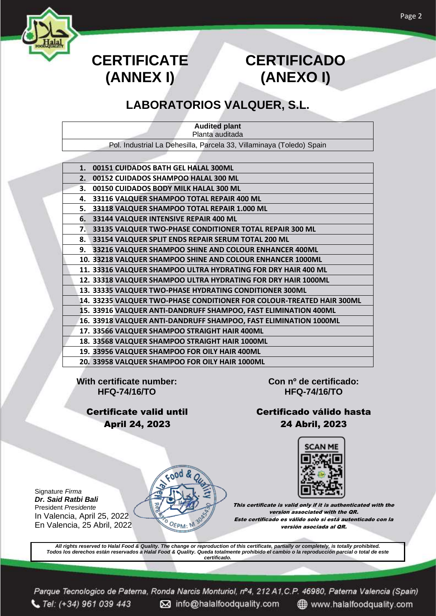

# **CERTIFICATE (ANNEX I)**

# **CERTIFICADO (ANEXO I)**

### **LABORATORIOS VALQUER, S.L.**

**Audited plant** Planta auditada Pol. Industrial La Dehesilla, Parcela 33, Villaminaya (Toledo) Spain

| 1. | 00151 CUIDADOS BATH GEL HALAL 300ML                                   |
|----|-----------------------------------------------------------------------|
| 2. | 00152 CUIDADOS SHAMPOO HALAL 300 ML                                   |
| 3. | 00150 CUIDADOS BODY MILK HALAL 300 ML                                 |
| 4. | 33116 VALQUER SHAMPOO TOTAL REPAIR 400 ML                             |
| 5. | 33118 VALQUER SHAMPOO TOTAL REPAIR 1.000 ML                           |
| 6. | 33144 VALQUER INTENSIVE REPAIR 400 ML                                 |
| 7. | 33135 VALQUER TWO-PHASE CONDITIONER TOTAL REPAIR 300 ML               |
| 8. | 33154 VALQUER SPLIT ENDS REPAIR SERUM TOTAL 200 ML                    |
| 9. | 33216 VALQUER SHAMPOO SHINE AND COLOUR ENHANCER 400ML                 |
|    | 10. 33218 VALQUER SHAMPOO SHINE AND COLOUR ENHANCER 1000ML            |
|    | 11. 33316 VALQUER SHAMPOO ULTRA HYDRATING FOR DRY HAIR 400 ML         |
|    | 12. 33318 VALQUER SHAMPOO ULTRA HYDRATING FOR DRY HAIR 1000ML         |
|    | 13. 33335 VALQUER TWO-PHASE HYDRATING CONDITIONER 300ML               |
|    | 14. 33235 VALQUER TWO-PHASE CONDITIONER FOR COLOUR-TREATED HAIR 300ML |
|    | 15. 33916 VALQUER ANTI-DANDRUFF SHAMPOO, FAST ELIMINATION 400ML       |
|    | 16. 33918 VALQUER ANTI-DANDRUFF SHAMPOO, FAST ELIMINATION 1000ML      |
|    | 17. 33566 VALQUER SHAMPOO STRAIGHT HAIR 400ML                         |
|    | 18. 33568 VALQUER SHAMPOO STRAIGHT HAIR 1000ML                        |
|    | 19. 33956 VALQUER SHAMPOO FOR OILY HAIR 400ML                         |
|    | 20. 33958 VALQUER SHAMPOO FOR OILY HAIR 1000ML                        |

**With certificate number: HFQ-74/16/TO**

> Certificate valid until April 24, 2023

> > ood

OEPM:

**Con nº de certificado: HFQ-74/16/TO**

Certificado válido hasta 24 Abril, 2023



This certificate is valid only if it is authenticated with the version associated with the QR. Este certificado es válido solo si está autenticado con la versión asociada al QR.

*All rights reserved to Halal Food & Quality. The change or reproduction of this certificate, partially or completely, is totally prohibited. Todos los derechos están reservados a Halal Food & Quality. Queda totalmente prohibido el cambio o la reproducción parcial o total de este certificado.*

Signature *Firma Dr. Said Ratbi Bali* President *Presidente* In Valencia, April 25, 2022 En Valencia, 25 Abril, 2022 Page 2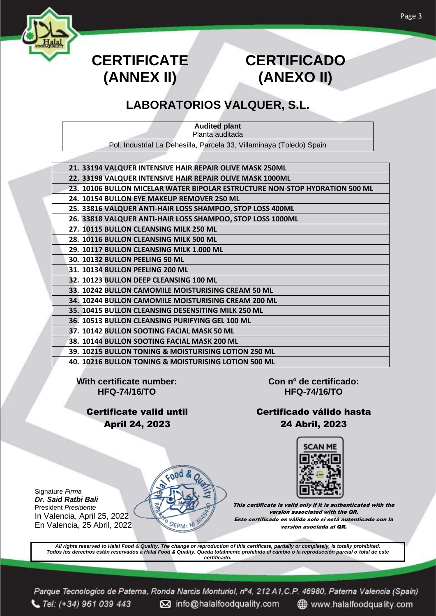

# **CERTIFICATE (ANNEX II)**

# **CERTIFICADO (ANEXO II)**

### **LABORATORIOS VALQUER, S.L.**

**Audited plant** Planta auditada

Pol. Industrial La Dehesilla, Parcela 33, Villaminaya (Toledo) Spain

- **21. 33194 VALQUER INTENSIVE HAIR REPAIR OLIVE MASK 250ML**
- **22. 33198 VALQUER INTENSIVE HAIR REPAIR OLIVE MASK 1000ML**
- **23. 10106 BULLON MICELAR WATER BIPOLAR ESTRUCTURE NON-STOP HYDRATION 500 ML**
- **24. 10154 BULLON EYE MAKEUP REMOVER 250 ML**
- **25. 33816 VALQUER ANTI-HAIR LOSS SHAMPOO, STOP LOSS 400ML**
- **26. 33818 VALQUER ANTI-HAIR LOSS SHAMPOO, STOP LOSS 1000ML**
- **27. 10115 BULLON CLEANSING MILK 250 ML**
- **28. 10116 BULLON CLEANSING MILK 500 ML**
- **29. 10117 BULLON CLEANSING MILK 1.000 ML**
- **30. 10132 BULLON PEELING 50 ML**
- **31. 10134 BULLON PEELING 200 ML**
- **32. 10123 BULLON DEEP CLEANSING 100 ML**
- **33. 10242 BULLON CAMOMILE MOISTURISING CREAM 50 ML**
- **34. 10244 BULLON CAMOMILE MOISTURISING CREAM 200 ML**
- **35. 10415 BULLON CLEANSING DESENSITING MILK 250 ML**
- **36. 10513 BULLON CLEANSING PURIFYING GEL 100 ML**
- **37. 10142 BULLON SOOTING FACIAL MASK 50 ML**
	- **38. 10144 BULLON SOOTING FACIAL MASK 200 ML**
	- **39. 10215 BULLON TONING & MOISTURISING LOTION 250 ML**
	- **40. 10216 BULLON TONING & MOISTURISING LOTION 500 ML**

**With certificate number: HFQ-74/16/TO**

Signature *Firma Dr. Said Ratbi Bali* President *Presidente*

In Valencia, April 25, 2022 En Valencia, 25 Abril, 2022

 $G$  Tel: (+34) 961 039 443

Certificate valid until April 24, 2023

**Con nº de certificado: HFQ-74/16/TO**

#### Certificado válido hasta 24 Abril, 2023



This certificate is valid only if it is authenticated with the version associated with the QR. Este certificado es válido solo si está autenticado con la versión asociada al QR.

*All rights reserved to Halal Food & Quality. The change or reproduction of this certificate, partially or completely, is totally prohibited. Todos los derechos están reservados a Halal Food & Quality. Queda totalmente prohibido el cambio o la reproducción parcial o total de este certificado.*

o info@halalfoodquality.com

Parque Tecnologico de Paterna, Ronda Narcis Monturiol, nº4, 212 A1, C.P. 46980, Paterna Valencia (Spain)

"<sub>ი</sub>იძ &

OEPM:

www.halalfoodquality.com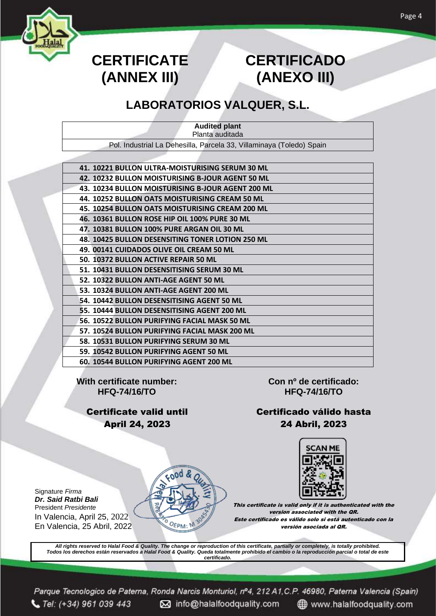

# **CERTIFICATE (ANNEX III)**

# **CERTIFICADO (ANEXO III)**

#### **LABORATORIOS VALQUER, S.L.**

| <b>Audited plant</b> |                                                                      |  |  |  |
|----------------------|----------------------------------------------------------------------|--|--|--|
|                      | Planta auditada                                                      |  |  |  |
|                      | Pol. Industrial La Dehesilla, Parcela 33, Villaminaya (Toledo) Spain |  |  |  |
|                      |                                                                      |  |  |  |
|                      | 41. 10221 BULLON ULTRA-MOISTURISING SERUM 30 ML                      |  |  |  |
|                      | 42. 10232 BULLON MOISTURISING B-JOUR AGENT 50 ML                     |  |  |  |
|                      | 43. 10234 BULLON MOISTURISING B-JOUR AGENT 200 ML                    |  |  |  |
|                      | 44. 10252 BULLON OATS MOISTURISING CREAM 50 ML                       |  |  |  |
|                      | 45. 10254 BULLON OATS MOISTURISING CREAM 200 ML                      |  |  |  |
|                      | 46. 10361 BULLON ROSE HIP OIL 100% PURE 30 ML                        |  |  |  |
|                      | 47. 10381 BULLON 100% PURE ARGAN OIL 30 ML                           |  |  |  |
|                      | 48. 10425 BULLON DESENSITING TONER LOTION 250 ML                     |  |  |  |
|                      | 49. 00141 CUIDADOS OLIVE OIL CREAM 50 ML                             |  |  |  |
|                      | 50. 10372 BULLON ACTIVE REPAIR 50 ML                                 |  |  |  |
|                      | 51. 10431 BULLON DESENSITISING SERUM 30 ML                           |  |  |  |
|                      | 52. 10322 BULLON ANTI-AGE AGENT 50 ML                                |  |  |  |
|                      | 53. 10324 BULLON ANTI-AGE AGENT 200 ML                               |  |  |  |
|                      | 54. 10442 BULLON DESENSITISING AGENT 50 ML                           |  |  |  |
|                      | 55. 10444 BULLON DESENSITISING AGENT 200 ML                          |  |  |  |
|                      | 56. 10522 BULLON PURIFYING FACIAL MASK 50 ML                         |  |  |  |
|                      | 57. 10524 BULLON PURIFYING FACIAL MASK 200 ML                        |  |  |  |
|                      | 58. 10531 BULLON PURIFYING SERUM 30 ML                               |  |  |  |
|                      | 59. 10542 BULLON PURIFYING AGENT 50 ML                               |  |  |  |
|                      | 60. 10544 BULLON PURIFYING AGENT 200 ML                              |  |  |  |

**With certificate number: HFQ-74/16/TO**

Signature *Firma Dr. Said Ratbi Bali* President *Presidente*

In Valencia, April 25, 2022 En Valencia, 25 Abril, 2022

Certificate valid until April 24, 2023

ood

OEPM:

**Con nº de certificado: HFQ-74/16/TO**

#### Certificado válido hasta 24 Abril, 2023

**SCAN ME** 

This certificate is valid only if it is authenticated with the version associated with the QR. Este certificado es válido solo si está autenticado con la versión asociada al QR.

*All rights reserved to Halal Food & Quality. The change or reproduction of this certificate, partially or completely, is totally prohibited. Todos los derechos están reservados a Halal Food & Quality. Queda totalmente prohibido el cambio o la reproducción parcial o total de este certificado.*

Page 4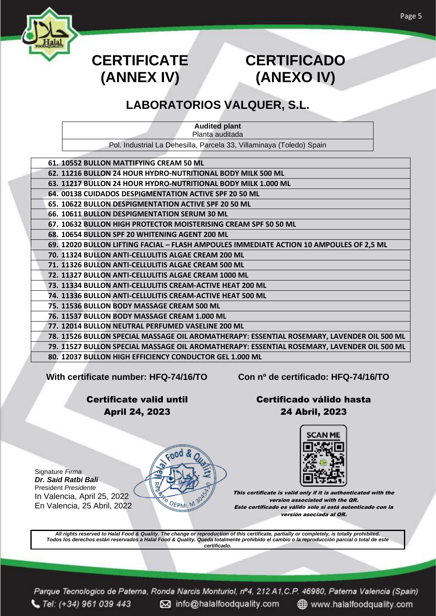

# **CERTIFICATE (ANNEX IV)**

# **CERTIFICADO (ANEXO IV)**

### **LABORATORIOS VALQUER, S.L.**

**Audited plant** Planta auditada

Pol. Industrial La Dehesilla, Parcela 33, Villaminaya (Toledo) Spain

| 61. 10552 BULLON MATTIFYING CREAM 50 ML                                                    |
|--------------------------------------------------------------------------------------------|
| 62. 11216 BULLON 24 HOUR HYDRO-NUTRITIONAL BODY MILK 500 ML                                |
| 63. 11217 BULLON 24 HOUR HYDRO-NUTRITIONAL BODY MILK 1.000 ML                              |
| 64. 00138 CUIDADOS DESPIGMENTATION ACTIVE SPF 20 50 ML                                     |
| 65. 10622 BULLON DESPIGMENTATION ACTIVE SPF 20 50 ML                                       |
| 66. 10611 BULLON DESPIGMENTATION SERUM 30 ML                                               |
| 67. 10632 BULLON HIGH PROTECTOR MOISTERISING CREAM SPF 50 50 ML                            |
| 68. 10654 BULLON SPF 20 WHITENING AGENT 200 ML                                             |
| 69. 12020 BULLON LIFTING FACIAL - FLASH AMPOULES IMMEDIATE ACTION 10 AMPOULES OF 2,5 ML    |
| 70. 11324 BULLON ANTI-CELLULITIS ALGAE CREAM 200 ML                                        |
| 71. 11326 BULLON ANTI-CELLULITIS ALGAE CREAM 500 ML                                        |
| 72. 11327 BULLON ANTI-CELLULITIS ALGAE CREAM 1000 ML                                       |
| 73. 11334 BULLON ANTI-CELLULITIS CREAM-ACTIVE HEAT 200 ML                                  |
| 74. 11336 BULLON ANTI-CELLULITIS CREAM-ACTIVE HEAT 500 ML                                  |
| 75. 11536 BULLON BODY MASSAGE CREAM 500 ML                                                 |
| 76. 11537 BULLON BODY MASSAGE CREAM 1.000 ML                                               |
| 77. 12014 BULLON NEUTRAL PERFUMED VASELINE 200 ML                                          |
| 78. 11526 BULLON SPECIAL MASSAGE OIL AROMATHERAPY: ESSENTIAL ROSEMARY, LAVENDER OIL 500 ML |
| 79. 11527 BULLON SPECIAL MASSAGE OIL AROMATHERAPY: ESSENTIAL ROSEMARY, LAVENDER OIL 500 ML |
| 80. 12037 BULLON HIGH EFFICIENCY CONDUCTOR GEL 1.000 ML                                    |

**With certificate number: HFQ-74/16/TO Con nº de certificado: HFQ-74/16/TO**

Certificate valid until April 24, 2023

Certificado válido hasta 24 Abril, 2023



This certificate is valid only if it is authenticated with the version associated with the QR. Este certificado es válido solo si está autenticado con la versión asociada al QR.

*All rights reserved to Halal Food & Quality. The change or reproduction of this certificate, partially or completely, is totally prohibited. Todos los derechos están reservados a Halal Food & Quality. Queda totalmente prohibido el cambio o la reproducción parcial o total de este certificado.*

OEPM: M

Parque Tecnologico de Paterna, Ronda Narcis Monturiol, nº4, 212 A1, C.P. 46980, Paterna Valencia (Spain)  $C$  Tel: (+34) 961 039 443 M info@halalfoodquality.com www.halalfoodquality.com

Signature *Firma Dr. Said Ratbi Bali* President *Presidente* In Valencia, April 25, 2022 En Valencia, 25 Abril, 2022



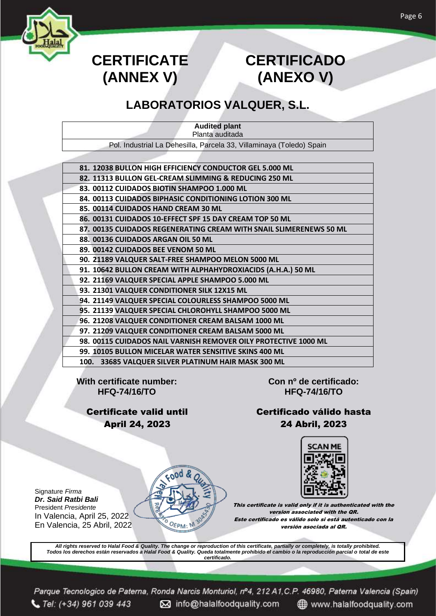

# **CERTIFICATE (ANNEX V)**

# **CERTIFICADO (ANEXO V)**

### **LABORATORIOS VALQUER, S.L.**

| <b>Audited plant</b><br>Planta auditada                              |
|----------------------------------------------------------------------|
| Pol. Industrial La Dehesilla, Parcela 33, Villaminaya (Toledo) Spain |
|                                                                      |
| 81. 12038 BULLON HIGH EFFICIENCY CONDUCTOR GEL 5.000 ML              |
| 82. 11313 BULLON GEL-CREAM SLIMMING & REDUCING 250 ML                |
| 83. 00112 CUIDADOS BIOTIN SHAMPOO 1.000 ML                           |
| 84. 00113 CUIDADOS BIPHASIC CONDITIONING LOTION 300 ML               |
| 85. 00114 CUIDADOS HAND CREAM 30 ML                                  |
| 86. 00131 CUIDADOS 10-EFFECT SPF 15 DAY CREAM TOP 50 ML              |
| 87. 00135 CUIDADOS REGENERATING CREAM WITH SNAIL SLIMERENEWS 50 ML   |
| 88. 00136 CUIDADOS ARGAN OIL 50 ML                                   |
| 89. 00142 CUIDADOS BEE VENOM 50 ML                                   |
| 90. 21189 VALQUER SALT-FREE SHAMPOO MELON 5000 ML                    |
| 91. 10642 BULLON CREAM WITH ALPHAHYDROXIACIDS (A.H.A.) 50 ML         |
| 92. 21169 VALQUER SPECIAL APPLE SHAMPOO 5.000 ML                     |
| 93. 21301 VALQUER CONDITIONER SILK 12X15 ML                          |
| 94. 21149 VALQUER SPECIAL COLOURLESS SHAMPOO 5000 ML                 |
| 95. 21139 VALQUER SPECIAL CHLOROHYLL SHAMPOO 5000 ML                 |
| 96. 21208 VALQUER CONDITIONER CREAM BALSAM 1000 ML                   |
| 97. 21209 VALQUER CONDITIONER CREAM BALSAM 5000 ML                   |
| 98. 00115 CUIDADOS NAIL VARNISH REMOVER OILY PROTECTIVE 1000 ML      |
| 99. 10105 BULLON MICELAR WATER SENSITIVE SKINS 400 ML                |

**100. 33685 VALQUER SILVER PLATINUM HAIR MASK 300 ML**

**With certificate number: HFQ-74/16/TO**

Signature *Firma Dr. Said Ratbi Bali* President *Presidente*

In Valencia, April 25, 2022

**Con nº de certificado: HFQ-74/16/TO**

#### Certificate valid until April 24, 2023

Certificado válido hasta 24 Abril, 2023



This certificate is valid only if it is authenticated with the version associated with the QR. Este certificado es válido solo si está autenticado con la versión asociada al QR.

*All rights reserved to Halal Food & Quality. The change or reproduction of this certificate, partially or completely, is totally prohibited. Todos los derechos están reservados a Halal Food & Quality. Queda totalmente prohibido el cambio o la reproducción parcial o total de este certificado.*

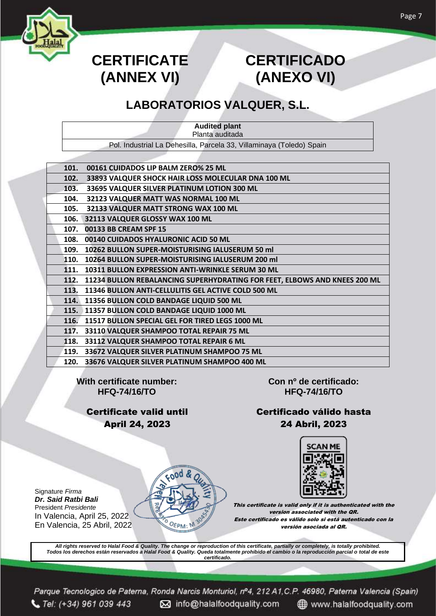

# **CERTIFICATE (ANNEX VI)**

# **CERTIFICADO (ANEXO VI)**

### **LABORATORIOS VALQUER, S.L.**

| <b>Audited plant</b>                                                 |  |
|----------------------------------------------------------------------|--|
| Planta auditada                                                      |  |
| Pol. Industrial La Dehesilla, Parcela 33, Villaminaya (Toledo) Spain |  |
|                                                                      |  |

| 101. | 00161 CUIDADOS LIP BALM ZERO% 25 ML                                       |
|------|---------------------------------------------------------------------------|
| 102. | 33893 VALQUER SHOCK HAIR LOSS MOLECULAR DNA 100 ML                        |
| 103. | 33695 VALQUER SILVER PLATINUM LOTION 300 ML                               |
| 104. | 32123 VALQUER MATT WAS NORMAL 100 ML                                      |
| 105. | 32133 VALQUER MATT STRONG WAX 100 ML                                      |
| 106. | 32113 VALQUER GLOSSY WAX 100 ML                                           |
| 107. | 00133 BB CREAM SPF 15                                                     |
| 108. | 00140 CUIDADOS HYALURONIC ACID 50 ML                                      |
| 109. | 10262 BULLON SUPER-MOISTURISING IALUSERUM 50 ml                           |
| 110. | 10264 BULLON SUPER-MOISTURISING IALUSERUM 200 ml                          |
| 111. | 10311 BULLON EXPRESSION ANTI-WRINKLE SERUM 30 ML                          |
| 112. | 11234 BULLON REBALANCING SUPERHYDRATING FOR FEET, ELBOWS AND KNEES 200 ML |
| 113. | 11346 BULLON ANTI-CELLULITIS GEL ACTIVE COLD 500 ML                       |
| 114. | 11356 BULLON COLD BANDAGE LIQUID 500 ML                                   |
|      | 115. 11357 BULLON COLD BANDAGE LIQUID 1000 ML                             |
| 116. | 11517 BULLON SPECIAL GEL FOR TIRED LEGS 1000 ML                           |
| 117. | 33110 VALQUER SHAMPOO TOTAL REPAIR 75 ML                                  |
| 118. | 33112 VALQUER SHAMPOO TOTAL REPAIR 6 ML                                   |
| 119. | 33672 VALQUER SILVER PLATINUM SHAMPOO 75 ML                               |
| 120. | 33676 VALQUER SILVER PLATINUM SHAMPOO 400 ML                              |

**With certificate number: HFQ-74/16/TO**

> Certificate valid until April 24, 2023

**Con nº de certificado: HFQ-74/16/TO**

#### Certificado válido hasta 24 Abril, 2023

SCAN MI

This certificate is valid only if it is authenticated with the version associated with the QR. Este certificado es válido solo si está autenticado con la versión asociada al QR.

*All rights reserved to Halal Food & Quality. The change or reproduction of this certificate, partially or completely, is totally prohibited. Todos los derechos están reservados a Halal Food & Quality. Queda totalmente prohibido el cambio o la reproducción parcial o total de este certificado.*

ood &

OEPM:

Signature *Firma Dr. Said Ratbi Bali* President *Presidente* In Valencia, April 25, 2022 En Valencia, 25 Abril, 2022